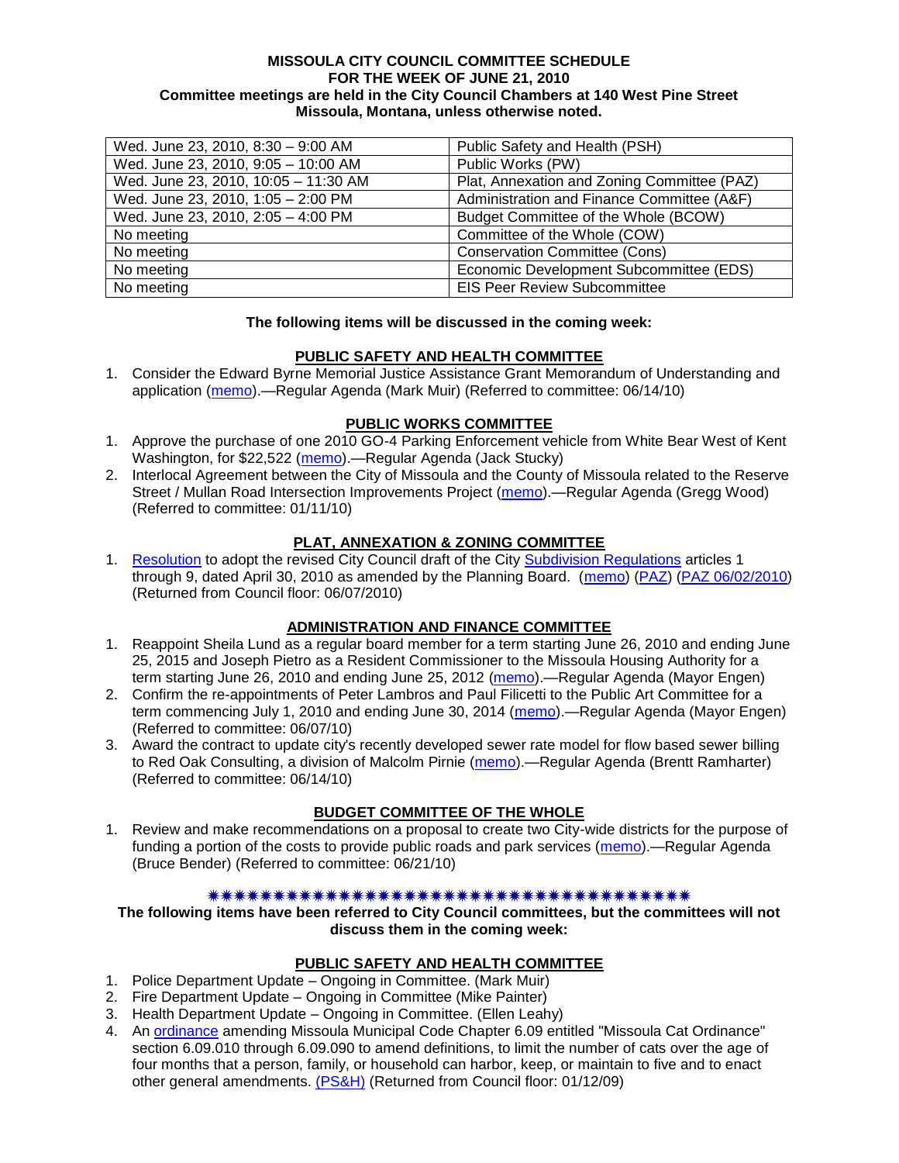### **MISSOULA CITY COUNCIL COMMITTEE SCHEDULE FOR THE WEEK OF JUNE 21, 2010 Committee meetings are held in the City Council Chambers at 140 West Pine Street Missoula, Montana, unless otherwise noted.**

| Wed. June 23, 2010, 8:30 - 9:00 AM   | Public Safety and Health (PSH)              |
|--------------------------------------|---------------------------------------------|
| Wed. June 23, 2010, 9:05 - 10:00 AM  | Public Works (PW)                           |
| Wed. June 23, 2010, 10:05 - 11:30 AM | Plat, Annexation and Zoning Committee (PAZ) |
| Wed. June 23, 2010, 1:05 - 2:00 PM   | Administration and Finance Committee (A&F)  |
| Wed. June 23, 2010, 2:05 - 4:00 PM   | Budget Committee of the Whole (BCOW)        |
| No meeting                           | Committee of the Whole (COW)                |
| No meeting                           | <b>Conservation Committee (Cons)</b>        |
| No meeting                           | Economic Development Subcommittee (EDS)     |
| No meeting                           | <b>EIS Peer Review Subcommittee</b>         |

### **The following items will be discussed in the coming week:**

### **PUBLIC SAFETY AND HEALTH COMMITTEE**

1. Consider the Edward Byrne Memorial Justice Assistance Grant Memorandum of Understanding and application [\(memo\)](http://www.ci.missoula.mt.us/DocumentView.aspx?DID=4088).—Regular Agenda (Mark Muir) (Referred to committee: 06/14/10)

## **PUBLIC WORKS COMMITTEE**

- 1. Approve the purchase of one 2010 GO-4 Parking Enforcement vehicle from White Bear West of Kent Washington, for \$22,522 [\(memo\)](http://www.ci.missoula.mt.us/DocumentView.aspx?DID=4119).—Regular Agenda (Jack Stucky)
- 2. Interlocal Agreement between the City of Missoula and the County of Missoula related to the Reserve Street / Mullan Road Intersection Improvements Project [\(memo\)](http://www.ci.missoula.mt.us/DocumentView.aspx?DID=2959).—Regular Agenda (Gregg Wood) (Referred to committee: 01/11/10)

## **PLAT, ANNEXATION & ZONING COMMITTEE**

1. [Resolution](http://www.ci.missoula.mt.us/DocumentView.aspx?DID=3844) to adopt the revised City Council draft of the City [Subdivision Regulations](http://www.ci.missoula.mt.us/DocumentView.aspx?DID=3692) articles 1 through 9, dated April 30, 2010 as amended by the Planning Board. [\(memo\)](http://www.ci.missoula.mt.us/DocumentView.aspx?DID=3698) [\(PAZ\)](http://www.ci.missoula.mt.us/Archive.aspx?ADID=2336) [\(PAZ 06/02/2010\)](http://www.ci.missoula.mt.us/Archive.aspx?ADID=2481) (Returned from Council floor: 06/07/2010)

## **ADMINISTRATION AND FINANCE COMMITTEE**

- 1. Reappoint Sheila Lund as a regular board member for a term starting June 26, 2010 and ending June 25, 2015 and Joseph Pietro as a Resident Commissioner to the Missoula Housing Authority for a term starting June 26, 2010 and ending June 25, 2012 [\(memo\)](http://www.ci.missoula.mt.us/DocumentView.aspx?DID=3878).—Regular Agenda (Mayor Engen)
- 2. Confirm the re-appointments of Peter Lambros and Paul Filicetti to the Public Art Committee for a term commencing July 1, 2010 and ending June 30, 2014 [\(memo\)](http://www.ci.missoula.mt.us/DocumentView.aspx?DID=4022).—Regular Agenda (Mayor Engen) (Referred to committee: 06/07/10)
- 3. Award the contract to update city's recently developed sewer rate model for flow based sewer billing to Red Oak Consulting, a division of Malcolm Pirnie [\(memo\)](http://www.ci.missoula.mt.us/DocumentView.aspx?DID=4120).—Regular Agenda (Brentt Ramharter) (Referred to committee: 06/14/10)

## **BUDGET COMMITTEE OF THE WHOLE**

1. Review and make recommendations on a proposal to create two City-wide districts for the purpose of funding a portion of the costs to provide public roads and park services [\(memo\)](http://www.ci.missoula.mt.us/DocumentView.aspx?DID=4123).—Regular Agenda (Bruce Bender) (Referred to committee: 06/21/10)

#### 

### **The following items have been referred to City Council committees, but the committees will not discuss them in the coming week:**

#### **PUBLIC SAFETY AND HEALTH COMMITTEE**

- 1. Police Department Update Ongoing in Committee. (Mark Muir)
- 2. Fire Department Update Ongoing in Committee (Mike Painter)
- 3. Health Department Update Ongoing in Committee. (Ellen Leahy)
- 4. An [ordinance](ftp://ftp.ci.missoula.mt.us/Packets/Council/2008/2008-12-15/2008CatOrdinanceAmendment%5B1%5D.pdf) amending Missoula Municipal Code Chapter 6.09 entitled "Missoula Cat Ordinance" section 6.09.010 through 6.09.090 to amend definitions, to limit the number of cats over the age of four months that a person, family, or household can harbor, keep, or maintain to five and to enact other general amendments. [\(PS&H\)](ftp://ftp.ci.missoula.mt.us/Packets/Council/2008/2008-12-15/081210psh.pdf) (Returned from Council floor: 01/12/09)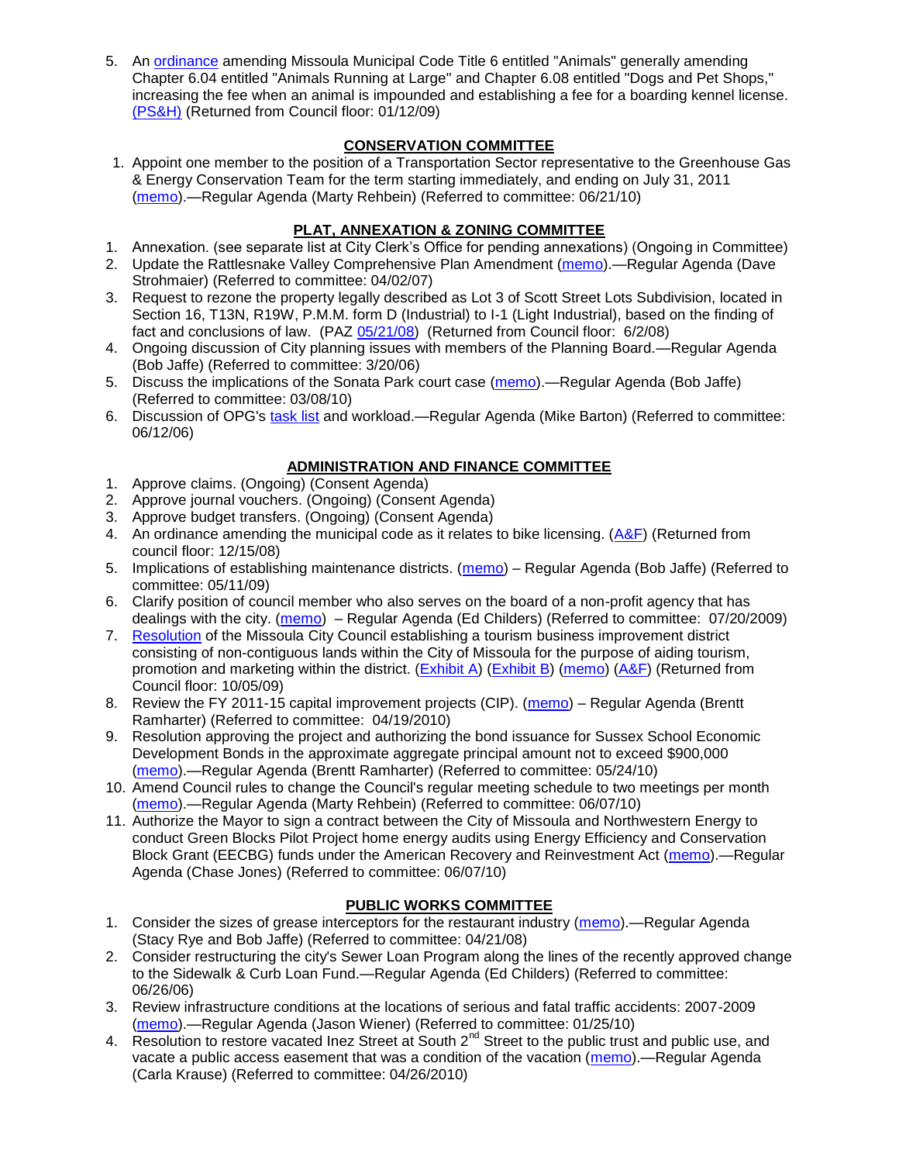5. An [ordinance](ftp://ftp.ci.missoula.mt.us/Packets/Council/2008/2008-12-15/DogOrdinance--PSHrevisions.pdf) amending Missoula Municipal Code Title 6 entitled "Animals" generally amending Chapter 6.04 entitled "Animals Running at Large" and Chapter 6.08 entitled "Dogs and Pet Shops," increasing the fee when an animal is impounded and establishing a fee for a boarding kennel license. [\(PS&H\)](ftp://ftp.ci.missoula.mt.us/Packets/Council/2008/2008-12-15/081210psh.pdf) (Returned from Council floor: 01/12/09)

## **CONSERVATION COMMITTEE**

1. Appoint one member to the position of a Transportation Sector representative to the Greenhouse Gas & Energy Conservation Team for the term starting immediately, and ending on July 31, 2011 [\(memo\)](http://www.ci.missoula.mt.us/DocumentView.aspx?DID=4118).—Regular Agenda (Marty Rehbein) (Referred to committee: 06/21/10)

# **PLAT, ANNEXATION & ZONING COMMITTEE**

- 1. Annexation. (see separate list at City Clerk's Office for pending annexations) (Ongoing in Committee)
- 2. Update the Rattlesnake Valley Comprehensive Plan Amendment [\(memo\)](ftp://ftp.ci.missoula.mt.us/Packets/Council/2007/2007-04-02/Referrals/Rattlesnake_Plan_Update_referral.pdf).—Regular Agenda (Dave Strohmaier) (Referred to committee: 04/02/07)
- 3. Request to rezone the property legally described as Lot 3 of Scott Street Lots Subdivision, located in Section 16, T13N, R19W, P.M.M. form D (Industrial) to I-1 (Light Industrial), based on the finding of fact and conclusions of law. (PAZ [05/21/08\)](ftp://ftp.ci.missoula.mt.us/Packets/Council/2008/2008-06-02/080521paz.pdf) (Returned from Council floor: 6/2/08)
- 4. Ongoing discussion of City planning issues with members of the Planning Board.—Regular Agenda (Bob Jaffe) (Referred to committee: 3/20/06)
- 5. Discuss the implications of the Sonata Park court case [\(memo\)](http://www.ci.missoula.mt.us/DocumentView.aspx?DID=3268).—Regular Agenda (Bob Jaffe) (Referred to committee: 03/08/10)
- 6. Discussion of OPG's [task list](http://www.ci.missoula.mt.us/DocumentView.aspx?DID=3837) and workload.—Regular Agenda (Mike Barton) (Referred to committee: 06/12/06)

## **ADMINISTRATION AND FINANCE COMMITTEE**

- 1. Approve claims. (Ongoing) (Consent Agenda)
- 2. Approve journal vouchers. (Ongoing) (Consent Agenda)
- 3. Approve budget transfers. (Ongoing) (Consent Agenda)
- 4. An ordinance amending the municipal code as it relates to bike licensing. [\(A&F\)](ftp://ftp.ci.missoula.mt.us/Packets/Council/2008/2008-12-15/081210af.pdf) (Returned from council floor: 12/15/08)
- 5. Implications of establishing maintenance districts. [\(memo\)](ftp://ftp.ci.missoula.mt.us/Packets/Council/2009/2009-05-11/Referrals/MaintenanceDistricts.pdf) Regular Agenda (Bob Jaffe) (Referred to committee: 05/11/09)
- 6. Clarify position of council member who also serves on the board of a non-profit agency that has dealings with the city. [\(memo\)](http://www.ci.missoula.mt.us/DocumentView.aspx?DID=1840) – Regular Agenda (Ed Childers) (Referred to committee: 07/20/2009)
- 7. [Resolution](http://www.ci.missoula.mt.us/DocumentView.aspx?DID=2373) of the Missoula City Council establishing a tourism business improvement district consisting of non-contiguous lands within the City of Missoula for the purpose of aiding tourism, promotion and marketing within the district. [\(Exhibit A\)](http://www.ci.missoula.mt.us/DocumentView.aspx?DID=2090) [\(Exhibit B\)](http://www.ci.missoula.mt.us/DocumentView.aspx?DID=2374) [\(memo\)](http://www.ci.missoula.mt.us/DocumentView.aspx?DID=2097) [\(A&F\)](http://www.ci.missoula.mt.us/Archive.aspx?ADID=1172) (Returned from Council floor: 10/05/09)
- 8. Review the FY 2011-15 capital improvement projects (CIP). [\(memo\)](http://www.ci.missoula.mt.us/DocumentView.aspx?DID=3522) Regular Agenda (Brentt Ramharter) (Referred to committee: 04/19/2010)
- 9. Resolution approving the project and authorizing the bond issuance for Sussex School Economic Development Bonds in the approximate aggregate principal amount not to exceed \$900,000 [\(memo\)](http://www.ci.missoula.mt.us/DocumentView.aspx?DID=3886).—Regular Agenda (Brentt Ramharter) (Referred to committee: 05/24/10)
- 10. Amend Council rules to change the Council's regular meeting schedule to two meetings per month [\(memo\)](http://www.ci.missoula.mt.us/DocumentView.aspx?DID=4027).—Regular Agenda (Marty Rehbein) (Referred to committee: 06/07/10)
- 11. Authorize the Mayor to sign a contract between the City of Missoula and Northwestern Energy to conduct Green Blocks Pilot Project home energy audits using Energy Efficiency and Conservation Block Grant (EECBG) funds under the American Recovery and Reinvestment Act [\(memo\)](http://www.ci.missoula.mt.us/DocumentView.aspx?DID=4035).—Regular Agenda (Chase Jones) (Referred to committee: 06/07/10)

# **PUBLIC WORKS COMMITTEE**

- 1. Consider the sizes of grease interceptors for the restaurant industry [\(memo\)](ftp://ftp.ci.missoula.mt.us/Packets/Council/2008/2008-04-21/Referrals/Industrial_waste_restaurants.pdf).—Regular Agenda (Stacy Rye and Bob Jaffe) (Referred to committee: 04/21/08)
- 2. Consider restructuring the city's Sewer Loan Program along the lines of the recently approved change to the Sidewalk & Curb Loan Fund.—Regular Agenda (Ed Childers) (Referred to committee: 06/26/06)
- 3. Review infrastructure conditions at the locations of serious and fatal traffic accidents: 2007-2009 [\(memo\)](http://www.ci.missoula.mt.us/DocumentView.aspx?DID=3031).—Regular Agenda (Jason Wiener) (Referred to committee: 01/25/10)
- 4. Resolution to restore vacated Inez Street at South 2<sup>nd</sup> Street to the public trust and public use, and vacate a public access easement that was a condition of the vacation [\(memo\)](http://www.ci.missoula.mt.us/DocumentView.aspx?DID=3573).—Regular Agenda (Carla Krause) (Referred to committee: 04/26/2010)